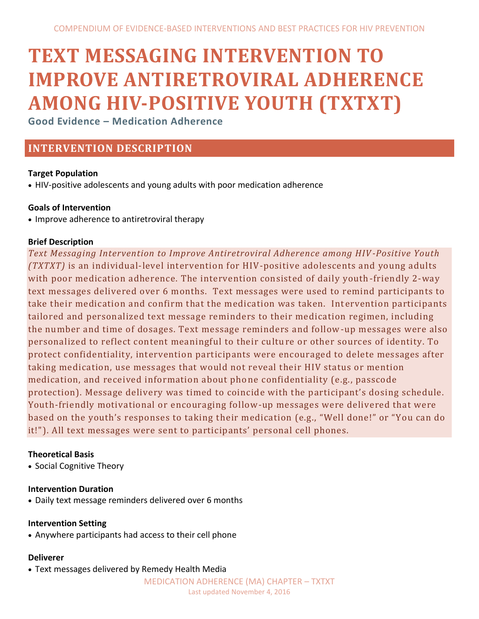# **TEXT MESSAGING INTERVENTION TO IMPROVE ANTIRETROVIRAL ADHERENCE AMONG HIV-POSITIVE YOUTH (TXTXT)**

**Good Evidence – Medication Adherence**

# **INTERVENTION DESCRIPTION**

# **Target Population**

HIV-positive adolescents and young adults with poor medication adherence

# **Goals of Intervention**

• Improve adherence to antiretroviral therapy

# **Brief Description**

*Text Messaging Intervention to Improve Antiretroviral Adherence among HIV -Positive Youth (TXTXT)* is an individual-level intervention for HIV-positive adolescents and young adults with poor medication adherence. The intervention consisted of daily youth -friendly 2-way text messages delivered over 6 months. Text messages were used to remind participants to take their medication and confirm that the medication was taken. Intervention participants tailored and personalized text message reminders to their medication regimen, including the number and time of dosages. Text message reminders and follow-up messages were also personalized to reflect content meaningful to their culture or other sources of identity. To protect confidentiality, intervention participants were encouraged to delete messages after taking medication, use messages that would not reveal their HIV status or mention medication, and received information about phone confidentiality (e.g., passcode protection). Message delivery was timed to coincide with the participant's dosing schedule. Youth-friendly motivational or encouraging follow-up messages were delivered that were based on the youth's responses to taking their medication (e.g., "Well done!" or "You can do it!"). All text messages were sent to participants' personal cell phones.

# **Theoretical Basis**

• Social Cognitive Theory

#### **Intervention Duration**

Daily text message reminders delivered over 6 months

#### **Intervention Setting**

Anywhere participants had access to their cell phone

#### **Deliverer**

Text messages delivered by Remedy Health Media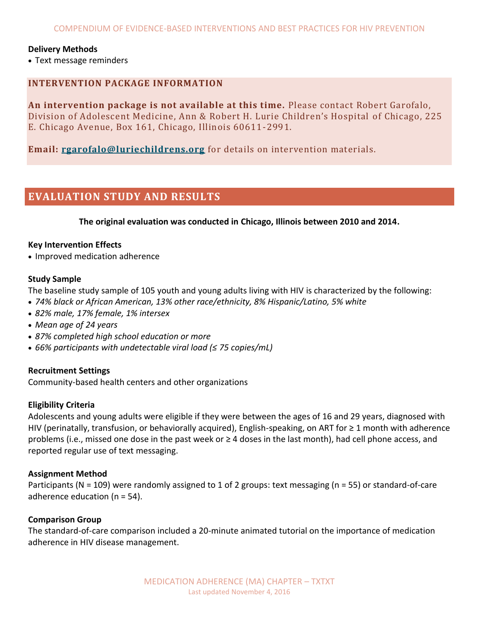#### **Delivery Methods**

Text message reminders

## **INTERVENTION PACKAGE INFORMATION**

**An intervention package is not available at this time.** Please contact Robert Garofalo, Division of Adolescent Medicine, Ann & Robert H. Lurie Children's Hospital of Chicago, 225 E. Chicago Avenue, Box 161, Chicago, Illinois 60611-2991.

**Email: [rgarofalo@luriechildrens.org](mailto:rgarofalo@luriechildrens.org)** for details on intervention materials.

# **EVALUATION STUDY AND RESULTS**

**The original evaluation was conducted in Chicago, Illinois between 2010 and 2014.**

#### **Key Intervention Effects**

• Improved medication adherence

#### **Study Sample**

The baseline study sample of 105 youth and young adults living with HIV is characterized by the following:

- *74% black or African American, 13% other race/ethnicity, 8% Hispanic/Latino, 5% white*
- *82% male, 17% female, 1% intersex*
- *Mean age of 24 years*
- *87% completed high school education or more*
- *66% participants with undetectable viral load (≤ 75 copies/mL)*

#### **Recruitment Settings**

Community-based health centers and other organizations

#### **Eligibility Criteria**

Adolescents and young adults were eligible if they were between the ages of 16 and 29 years, diagnosed with HIV (perinatally, transfusion, or behaviorally acquired), English-speaking, on ART for ≥ 1 month with adherence problems (i.e., missed one dose in the past week or ≥ 4 doses in the last month), had cell phone access, and reported regular use of text messaging.

#### **Assignment Method**

Participants (N = 109) were randomly assigned to 1 of 2 groups: text messaging (n = 55) or standard-of-care adherence education (n = 54).

#### **Comparison Group**

The standard-of-care comparison included a 20-minute animated tutorial on the importance of medication adherence in HIV disease management.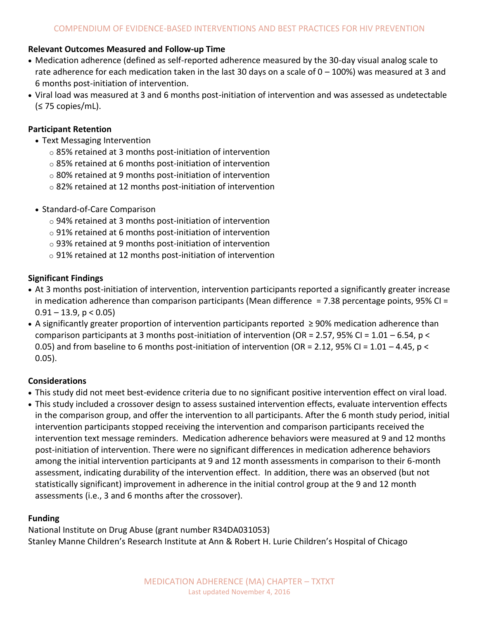#### **Relevant Outcomes Measured and Follow-up Time**

- Medication adherence (defined as self-reported adherence measured by the 30-day visual analog scale to rate adherence for each medication taken in the last 30 days on a scale of  $0 - 100\%$ ) was measured at 3 and 6 months post-initiation of intervention.
- Viral load was measured at 3 and 6 months post-initiation of intervention and was assessed as undetectable  $( $575$  copies/mL).$

#### **Participant Retention**

- Text Messaging Intervention
	- o 85% retained at 3 months post-initiation of intervention
	- o 85% retained at 6 months post-initiation of intervention
	- o 80% retained at 9 months post-initiation of intervention
	- o 82% retained at 12 months post-initiation of intervention
- Standard-of-Care Comparison
	- o 94% retained at 3 months post-initiation of intervention
	- o 91% retained at 6 months post-initiation of intervention
	- o 93% retained at 9 months post-initiation of intervention
	- o 91% retained at 12 months post-initiation of intervention

## **Significant Findings**

- At 3 months post-initiation of intervention, intervention participants reported a significantly greater increase in medication adherence than comparison participants (Mean difference = 7.38 percentage points, 95% CI =  $0.91 - 13.9$ ,  $p < 0.05$
- A significantly greater proportion of intervention participants reported ≥ 90% medication adherence than comparison participants at 3 months post-initiation of intervention (OR = 2.57, 95% CI =  $1.01 - 6.54$ , p < 0.05) and from baseline to 6 months post-initiation of intervention (OR = 2.12, 95% CI = 1.01 – 4.45, p < 0.05).

#### **Considerations**

- This study did not meet best-evidence criteria due to no significant positive intervention effect on viral load.
- This study included a crossover design to assess sustained intervention effects, evaluate intervention effects in the comparison group, and offer the intervention to all participants. After the 6 month study period, initial intervention participants stopped receiving the intervention and comparison participants received the intervention text message reminders. Medication adherence behaviors were measured at 9 and 12 months post-initiation of intervention. There were no significant differences in medication adherence behaviors among the initial intervention participants at 9 and 12 month assessments in comparison to their 6-month assessment, indicating durability of the intervention effect. In addition, there was an observed (but not statistically significant) improvement in adherence in the initial control group at the 9 and 12 month assessments (i.e., 3 and 6 months after the crossover).

#### **Funding**

National Institute on Drug Abuse (grant number R34DA031053) Stanley Manne Children's Research Institute at Ann & Robert H. Lurie Children's Hospital of Chicago